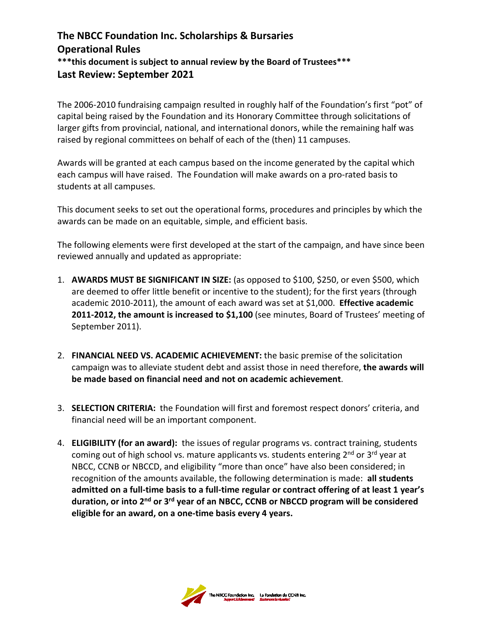## **The NBCC Foundation Inc. Scholarships & Bursaries Operational Rules \*\*\*this document is subject to annual review by the Board of Trustees\*\*\* Last Review: September 2021**

The 2006-2010 fundraising campaign resulted in roughly half of the Foundation's first "pot" of capital being raised by the Foundation and its Honorary Committee through solicitations of larger gifts from provincial, national, and international donors, while the remaining half was raised by regional committees on behalf of each of the (then) 11 campuses.

Awards will be granted at each campus based on the income generated by the capital which each campus will have raised. The Foundation will make awards on a pro-rated basis to students at all campuses.

This document seeks to set out the operational forms, procedures and principles by which the awards can be made on an equitable, simple, and efficient basis.

The following elements were first developed at the start of the campaign, and have since been reviewed annually and updated as appropriate:

- 1. **AWARDS MUST BE SIGNIFICANT IN SIZE:** (as opposed to \$100, \$250, or even \$500, which are deemed to offer little benefit or incentive to the student); for the first years (through academic 2010-2011), the amount of each award was set at \$1,000. **Effective academic 2011-2012, the amount is increased to \$1,100** (see minutes, Board of Trustees' meeting of September 2011).
- 2. **FINANCIAL NEED VS. ACADEMIC ACHIEVEMENT:** the basic premise of the solicitation campaign was to alleviate student debt and assist those in need therefore, **the awards will be made based on financial need and not on academic achievement**.
- 3. **SELECTION CRITERIA:** the Foundation will first and foremost respect donors' criteria, and financial need will be an important component.
- 4. **ELIGIBILITY (for an award):** the issues of regular programs vs. contract training, students coming out of high school vs. mature applicants vs. students entering  $2^{nd}$  or  $3^{rd}$  year at NBCC, CCNB or NBCCD, and eligibility "more than once" have also been considered; in recognition of the amounts available, the following determination is made: **all students admitted on a full-time basis to a full-time regular or contract offering of at least 1 year's duration, or into 2nd or 3rd year of an NBCC, CCNB or NBCCD program will be considered eligible for an award, on a one-time basis every 4 years.**